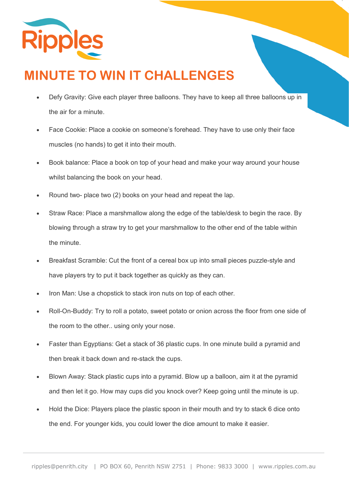

## **MINUTE TO WIN IT CHALLENGES**

- Defy Gravity: Give each player three balloons. They have to keep all three balloons up in the air for a minute.
- Face Cookie: Place a cookie on someone's forehead. They have to use only their face muscles (no hands) to get it into their mouth.
- Book balance: Place a book on top of your head and make your way around your house whilst balancing the book on your head.
- Round two- place two (2) books on your head and repeat the lap.
- Straw Race: Place a marshmallow along the edge of the table/desk to begin the race. By blowing through a straw try to get your marshmallow to the other end of the table within the minute.
- Breakfast Scramble: Cut the front of a cereal box up into small pieces puzzle-style and have players try to put it back together as quickly as they can.
- Iron Man: Use a chopstick to stack iron nuts on top of each other.
- Roll-On-Buddy: Try to roll a potato, sweet potato or onion across the floor from one side of the room to the other.. using only your nose.
- Faster than Egyptians: Get a stack of 36 plastic cups. In one minute build a pyramid and then break it back down and re-stack the cups.
- Blown Away: Stack plastic cups into a pyramid. Blow up a balloon, aim it at the pyramid and then let it go. How may cups did you knock over? Keep going until the minute is up.
- Hold the Dice: Players place the plastic spoon in their mouth and try to stack 6 dice onto the end. For younger kids, you could lower the dice amount to make it easier.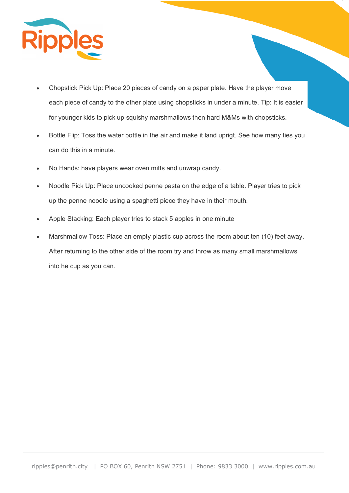

- Chopstick Pick Up: Place 20 pieces of candy on a paper plate. Have the player move each piece of candy to the other plate using chopsticks in under a minute. Tip: It is easier for younger kids to pick up squishy marshmallows then hard M&Ms with chopsticks.
- Bottle Flip: Toss the water bottle in the air and make it land uprigt. See how many ties you can do this in a minute.
- No Hands: have players wear oven mitts and unwrap candy.
- Noodle Pick Up: Place uncooked penne pasta on the edge of a table. Player tries to pick up the penne noodle using a spaghetti piece they have in their mouth.
- Apple Stacking: Each player tries to stack 5 apples in one minute
- Marshmallow Toss: Place an empty plastic cup across the room about ten (10) feet away. After returning to the other side of the room try and throw as many small marshmallows into he cup as you can.